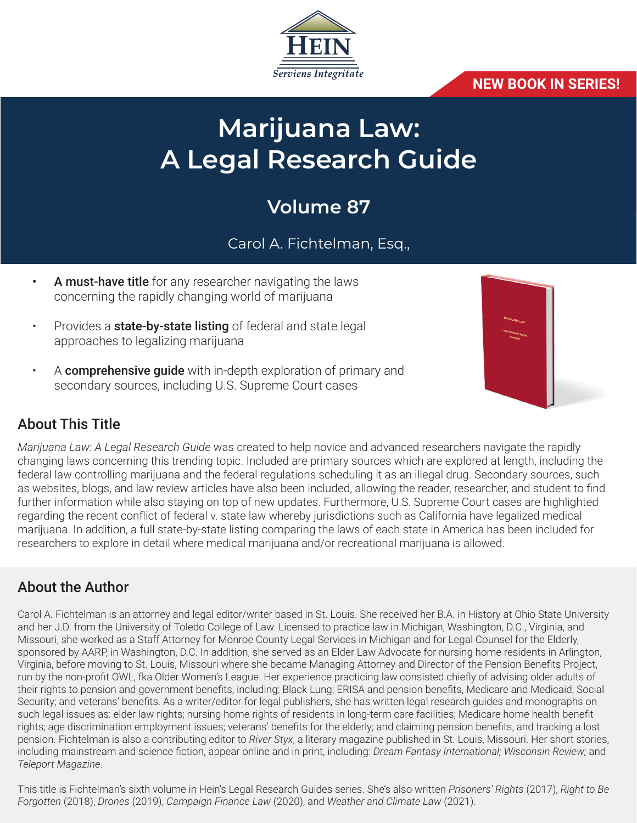

#### **NEW BOOK IN SERIES!**

# **Marijuana Law: A Legal Research Guide**

## **Volume 87**

## Carol A. Fichtelman, Esq.,

- A must-have title for any researcher navigating the laws concerning the rapidly changing world of marijuana
- Provides a **state-by-state listing** of federal and state legal approaches to legalizing marijuana
- A **comprehensive guide** with in-depth exploration of primary and secondary sources, including U.S. Supreme Court cases



## About This Title

*Marijuana Law: A Legal Research Guide* was created to help novice and advanced researchers navigate the rapidly changing laws concerning this trending topic. Included are primary sources which are explored at length, including the federal law controlling marijuana and the federal regulations scheduling it as an illegal drug. Secondary sources, such as websites, blogs, and law review articles have also been included, allowing the reader, researcher, and student to find further information while also staying on top of new updates. Furthermore, U.S. Supreme Court cases are highlighted regarding the recent conflict of federal v. state law whereby jurisdictions such as California have legalized medical marijuana. In addition, a full state-by-state listing comparing the laws of each state in America has been included for researchers to explore in detail where medical marijuana and/or recreational marijuana is allowed.

#### About the Author

Carol A. Fichtelman is an attorney and legal editor/writer based in St. Louis. She received her B.A. in History at Ohio State University and her J.D. from the University of Toledo College of Law. Licensed to practice law in Michigan, Washington, D.C., Virginia, and Missouri, she worked as a Staff Attorney for Monroe County Legal Services in Michigan and for Legal Counsel for the Elderly, sponsored by AARP, in Washington, D.C. In addition, she served as an Elder Law Advocate for nursing home residents in Arlington, Virginia, before moving to St. Louis, Missouri where she became Managing Attorney and Director of the Pension Benefits Project, run by the non-profit OWL, fka Older Women's League. Her experience practicing law consisted chiefly of advising older adults of their rights to pension and government benefits, including: Black Lung; ERISA and pension benefits, Medicare and Medicaid, Social Security; and veterans' benefits. As a writer/editor for legal publishers, she has written legal research guides and monographs on such legal issues as: elder law rights; nursing home rights of residents in long-term care facilities; Medicare home health benefit rights; age discrimination employment issues; veterans' benefits for the elderly; and claiming pension benefits, and tracking a lost pension. Fichtelman is also a contributing editor to *River Styx*, a literary magazine published in St. Louis, Missouri. Her short stories, including mainstream and science fiction, appear online and in print, including: *Dream Fantasy International; Wisconsin Review;* and *Teleport Magazine*.

This title is Fichtelman's sixth volume in Hein's Legal Research Guides series. She's also written *Prisoners' Rights* (2017), *Right to Be Forgotten* (2018), *Drones* (2019), *Campaign Finance Law* (2020), and *Weather and Climate Law* (2021).